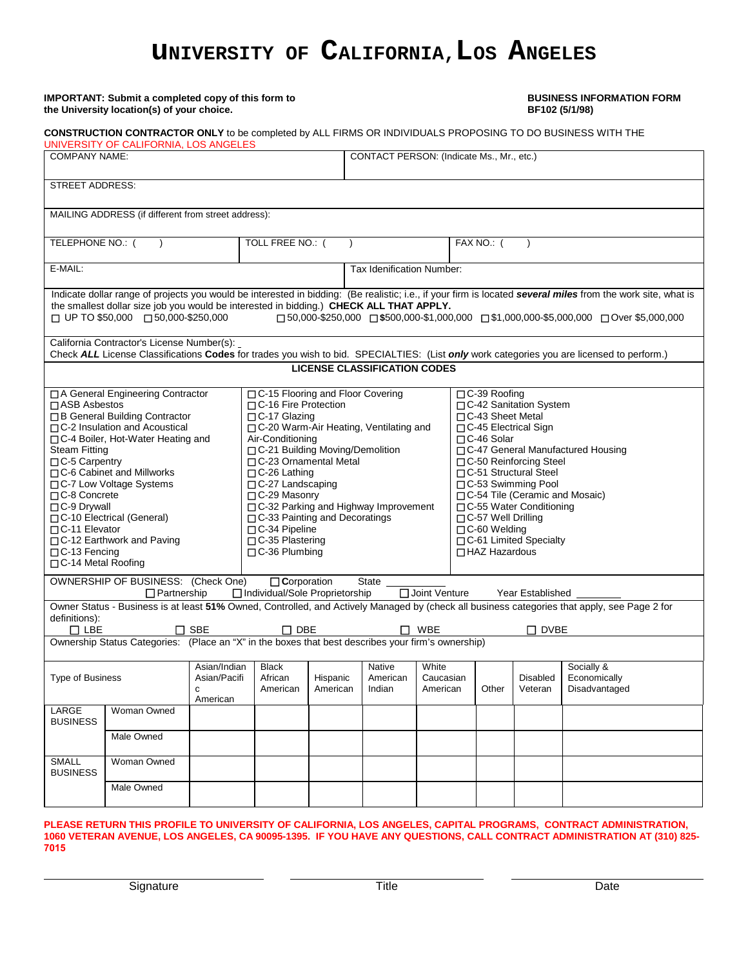# **UNIVERSITY OF CALIFORNIA, LOS ANGELES**

# **IMPORTANT:** Submit a completed copy of this form to **BUSINESS INFORMATION FORM**

| the University location(s) of your choice.                                                                                                                                                                                                                                                                                                                                                                                                     |                                                                                                                                | BF102 (5/1/98)                           |                                                                                                                                                                                                                                                                                                                                                                                                                                  |                           |                                           |                                |                                                                                                                                                                                                                                                                                                                                                                                           |            |                            |                                                                                                                                                                                                                                                                             |  |
|------------------------------------------------------------------------------------------------------------------------------------------------------------------------------------------------------------------------------------------------------------------------------------------------------------------------------------------------------------------------------------------------------------------------------------------------|--------------------------------------------------------------------------------------------------------------------------------|------------------------------------------|----------------------------------------------------------------------------------------------------------------------------------------------------------------------------------------------------------------------------------------------------------------------------------------------------------------------------------------------------------------------------------------------------------------------------------|---------------------------|-------------------------------------------|--------------------------------|-------------------------------------------------------------------------------------------------------------------------------------------------------------------------------------------------------------------------------------------------------------------------------------------------------------------------------------------------------------------------------------------|------------|----------------------------|-----------------------------------------------------------------------------------------------------------------------------------------------------------------------------------------------------------------------------------------------------------------------------|--|
|                                                                                                                                                                                                                                                                                                                                                                                                                                                |                                                                                                                                |                                          |                                                                                                                                                                                                                                                                                                                                                                                                                                  |                           |                                           |                                |                                                                                                                                                                                                                                                                                                                                                                                           |            |                            | CONSTRUCTION CONTRACTOR ONLY to be completed by ALL FIRMS OR INDIVIDUALS PROPOSING TO DO BUSINESS WITH THE                                                                                                                                                                  |  |
| UNIVERSITY OF CALIFORNIA, LOS ANGELES<br><b>COMPANY NAME:</b>                                                                                                                                                                                                                                                                                                                                                                                  |                                                                                                                                |                                          |                                                                                                                                                                                                                                                                                                                                                                                                                                  |                           | CONTACT PERSON: (Indicate Ms., Mr., etc.) |                                |                                                                                                                                                                                                                                                                                                                                                                                           |            |                            |                                                                                                                                                                                                                                                                             |  |
| <b>STREET ADDRESS:</b>                                                                                                                                                                                                                                                                                                                                                                                                                         |                                                                                                                                |                                          |                                                                                                                                                                                                                                                                                                                                                                                                                                  |                           |                                           |                                |                                                                                                                                                                                                                                                                                                                                                                                           |            |                            |                                                                                                                                                                                                                                                                             |  |
|                                                                                                                                                                                                                                                                                                                                                                                                                                                | MAILING ADDRESS (if different from street address):                                                                            |                                          |                                                                                                                                                                                                                                                                                                                                                                                                                                  |                           |                                           |                                |                                                                                                                                                                                                                                                                                                                                                                                           |            |                            |                                                                                                                                                                                                                                                                             |  |
| TELEPHONE NO.: (                                                                                                                                                                                                                                                                                                                                                                                                                               |                                                                                                                                |                                          | TOLL FREE NO.: (                                                                                                                                                                                                                                                                                                                                                                                                                 |                           |                                           |                                |                                                                                                                                                                                                                                                                                                                                                                                           | FAX NO.: ( |                            |                                                                                                                                                                                                                                                                             |  |
| E-MAIL:                                                                                                                                                                                                                                                                                                                                                                                                                                        |                                                                                                                                |                                          |                                                                                                                                                                                                                                                                                                                                                                                                                                  | Tax Idenification Number: |                                           |                                |                                                                                                                                                                                                                                                                                                                                                                                           |            |                            |                                                                                                                                                                                                                                                                             |  |
|                                                                                                                                                                                                                                                                                                                                                                                                                                                | the smallest dollar size job you would be interested in bidding.) CHECK ALL THAT APPLY.<br>□ UP TO \$50,000 □ 50,000-\$250,000 |                                          |                                                                                                                                                                                                                                                                                                                                                                                                                                  |                           |                                           |                                |                                                                                                                                                                                                                                                                                                                                                                                           |            |                            | Indicate dollar range of projects you would be interested in bidding: (Be realistic; i.e., if your firm is located several miles from the work site, what is<br>$\Box$ 50,000-\$250,000 $\Box$ \$500,000-\$1,000,000 $\Box$ \$1,000,000-\$5,000,000 $\Box$ Over \$5,000,000 |  |
|                                                                                                                                                                                                                                                                                                                                                                                                                                                | California Contractor's License Number(s):                                                                                     |                                          |                                                                                                                                                                                                                                                                                                                                                                                                                                  |                           |                                           |                                |                                                                                                                                                                                                                                                                                                                                                                                           |            |                            | Check ALL License Classifications Codes for trades you wish to bid. SPECIALTIES: (List only work categories you are licensed to perform.)                                                                                                                                   |  |
|                                                                                                                                                                                                                                                                                                                                                                                                                                                |                                                                                                                                |                                          |                                                                                                                                                                                                                                                                                                                                                                                                                                  |                           | <b>LICENSE CLASSIFICATION CODES</b>       |                                |                                                                                                                                                                                                                                                                                                                                                                                           |            |                            |                                                                                                                                                                                                                                                                             |  |
| □ A General Engineering Contractor<br>□ ASB Asbestos<br>□ B General Building Contractor<br>□ C-2 Insulation and Acoustical<br>□ C-4 Boiler, Hot-Water Heating and<br><b>Steam Fitting</b><br>□ C-5 Carpentry<br>□ C-6 Cabinet and Millworks<br>□ C-7 Low Voltage Systems<br>$\Box$ C-8 Concrete<br>□C-9 Drywall<br>□ C-10 Electrical (General)<br>□C-11 Elevator<br>□ C-12 Earthwork and Paving<br>$\Box$ C-13 Fencing<br>□ C-14 Metal Roofing |                                                                                                                                |                                          | □ C-15 Flooring and Floor Covering<br>□C-16 Fire Protection<br>$\Box$ C-17 Glazing<br>□ C-20 Warm-Air Heating, Ventilating and<br>Air-Conditioning<br>□ C-21 Building Moving/Demolition<br>□ C-23 Ornamental Metal<br>$\Box$ C-26 Lathing<br>$\Box$ C-27 Landscaping<br>□ C-29 Masonry<br>□ C-32 Parking and Highway Improvement<br>$\Box$ C-33 Painting and Decoratings<br>□C-34 Pipeline<br>□C-35 Plastering<br>□C-36 Plumbing |                           |                                           |                                | □C-39 Roofing<br>□ C-42 Sanitation System<br>□C-43 Sheet Metal<br>□ C-45 Electrical Sign<br>$\Box$ C-46 Solar<br>□ C-47 General Manufactured Housing<br>□C-50 Reinforcing Steel<br>□ C-51 Structural Steel<br>□ C-53 Swimming Pool<br>□ C-54 Tile (Ceramic and Mosaic)<br>□ C-55 Water Conditioning<br>□C-57 Well Drilling<br>□C-60 Welding<br>□C-61 Limited Specialty<br>□ HAZ Hazardous |            |                            |                                                                                                                                                                                                                                                                             |  |
|                                                                                                                                                                                                                                                                                                                                                                                                                                                | OWNERSHIP OF BUSINESS: (Check One)<br>$\Box$ Partnership                                                                       |                                          | $\Box$ Corporation<br>□ Individual/Sole Proprietorship                                                                                                                                                                                                                                                                                                                                                                           |                           | State                                     | Joint Venture                  |                                                                                                                                                                                                                                                                                                                                                                                           |            | Year Established           |                                                                                                                                                                                                                                                                             |  |
| definitions):<br>$\Box$ LBE                                                                                                                                                                                                                                                                                                                                                                                                                    |                                                                                                                                | $\sqcap$ SBE                             | $\sqcap$ DBE                                                                                                                                                                                                                                                                                                                                                                                                                     |                           |                                           | <b>WBE</b>                     |                                                                                                                                                                                                                                                                                                                                                                                           |            | $\sqcap$ dvbe              | Owner Status - Business is at least 51% Owned, Controlled, and Actively Managed by (check all business categories that apply, see Page 2 for                                                                                                                                |  |
| Ownership Status Categories: (Place an "X" in the boxes that best describes your firm's ownership)<br><b>Type of Business</b><br>С                                                                                                                                                                                                                                                                                                             |                                                                                                                                | Asian/Indian<br>Asian/Pacifi<br>American | <b>Black</b><br>African<br>American                                                                                                                                                                                                                                                                                                                                                                                              | Hispanic<br>American      | <b>Native</b><br>American<br>Indian       | White<br>Caucasian<br>American |                                                                                                                                                                                                                                                                                                                                                                                           | Other      | <b>Disabled</b><br>Veteran | Socially &<br>Economically<br>Disadvantaged                                                                                                                                                                                                                                 |  |
| LARGE<br><b>BUSINESS</b>                                                                                                                                                                                                                                                                                                                                                                                                                       | Woman Owned                                                                                                                    |                                          |                                                                                                                                                                                                                                                                                                                                                                                                                                  |                           |                                           |                                |                                                                                                                                                                                                                                                                                                                                                                                           |            |                            |                                                                                                                                                                                                                                                                             |  |
|                                                                                                                                                                                                                                                                                                                                                                                                                                                | Male Owned                                                                                                                     |                                          |                                                                                                                                                                                                                                                                                                                                                                                                                                  |                           |                                           |                                |                                                                                                                                                                                                                                                                                                                                                                                           |            |                            |                                                                                                                                                                                                                                                                             |  |
| <b>SMALL</b><br><b>BUSINESS</b>                                                                                                                                                                                                                                                                                                                                                                                                                | Woman Owned                                                                                                                    |                                          |                                                                                                                                                                                                                                                                                                                                                                                                                                  |                           |                                           |                                |                                                                                                                                                                                                                                                                                                                                                                                           |            |                            |                                                                                                                                                                                                                                                                             |  |
|                                                                                                                                                                                                                                                                                                                                                                                                                                                | Male Owned                                                                                                                     |                                          |                                                                                                                                                                                                                                                                                                                                                                                                                                  |                           |                                           |                                |                                                                                                                                                                                                                                                                                                                                                                                           |            |                            |                                                                                                                                                                                                                                                                             |  |
|                                                                                                                                                                                                                                                                                                                                                                                                                                                |                                                                                                                                |                                          |                                                                                                                                                                                                                                                                                                                                                                                                                                  |                           |                                           |                                |                                                                                                                                                                                                                                                                                                                                                                                           |            |                            | PLEASE RETURN THIS PROFILE TO UNIVERSITY OF CALIFORNIA, LOS ANGELES, CAPITAL PROGRAMS, CONTRACT ADMINISTRATION,                                                                                                                                                             |  |

#### **1060 VETERAN AVENUE, LOS ANGELES, CA 90095-1395. IF YOU HAVE ANY QUESTIONS, CALL CONTRACT ADMINISTRATION AT (310) 825- 7015**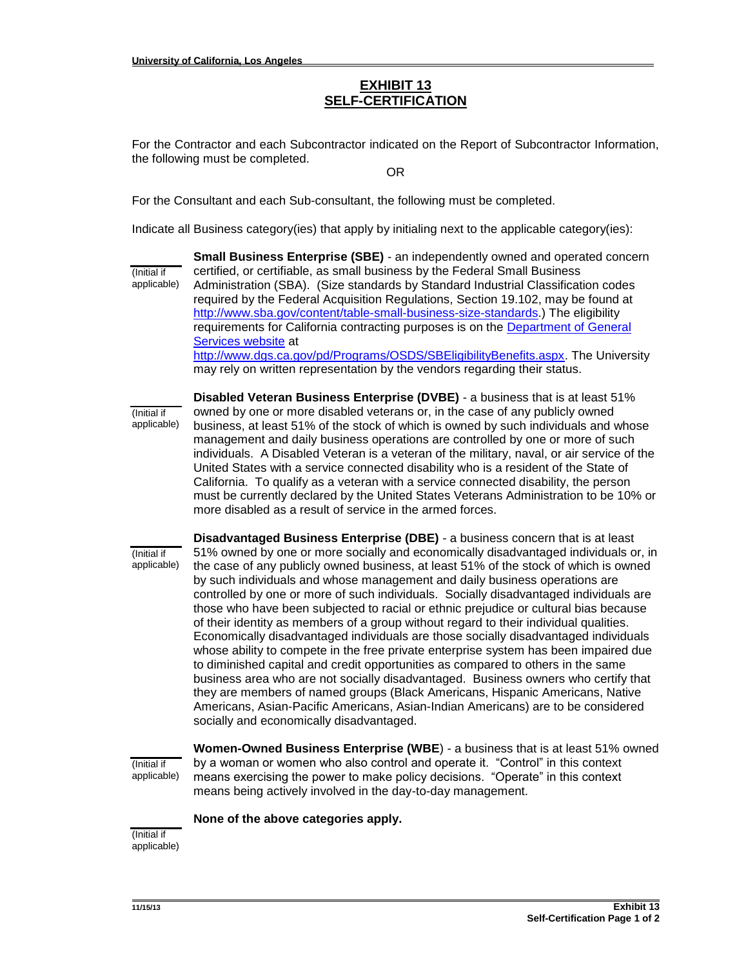# **EXHIBIT 13 SELF-CERTIFICATION**

For the Contractor and each Subcontractor indicated on the Report of Subcontractor Information, the following must be completed.

OR

For the Consultant and each Sub-consultant, the following must be completed.

Indicate all Business category(ies) that apply by initialing next to the applicable category(ies):

(Initial if applicable) **Small Business Enterprise (SBE)** - an independently owned and operated concern certified, or certifiable, as small business by the Federal Small Business Administration (SBA). (Size standards by Standard Industrial Classification codes required by the Federal Acquisition Regulations, Section 19.102, may be found a[t](http://www.sba.gov/content/table-small-business-size-standards) [http://www.sba.gov/content/table-small-business-size-standards.](http://www.sba.gov/content/table-small-business-size-standards)) The eligibility requirements for California contracting purposes is on the [Department of General](http://www.dgs.ca.gov/pd/Programs/OSDS/SBEligibilityBenefits.aspx)  [Services website](http://www.dgs.ca.gov/pd/Programs/OSDS/SBEligibilityBenefits.aspx) at [http://www.dgs.ca.gov/pd/Programs/OSDS/SBEligibilityBenefits.aspx.](http://www.dgs.ca.gov/pd/Programs/OSDS/SBEligibilityBenefits.aspx) The University may rely on written representation by the vendors regarding their status.

(Initial if applicable) **Disabled Veteran Business Enterprise (DVBE)** - a business that is at least 51% owned by one or more disabled veterans or, in the case of any publicly owned business, at least 51% of the stock of which is owned by such individuals and whose management and daily business operations are controlled by one or more of such individuals. A Disabled Veteran is a veteran of the military, naval, or air service of the United States with a service connected disability who is a resident of the State of California. To qualify as a veteran with a service connected disability, the person must be currently declared by the United States Veterans Administration to be 10% or more disabled as a result of service in the armed forces.

(Initial if applicable)

**Disadvantaged Business Enterprise (DBE)** - a business concern that is at least 51% owned by one or more socially and economically disadvantaged individuals or, in the case of any publicly owned business, at least 51% of the stock of which is owned by such individuals and whose management and daily business operations are controlled by one or more of such individuals. Socially disadvantaged individuals are those who have been subjected to racial or ethnic prejudice or cultural bias because of their identity as members of a group without regard to their individual qualities. Economically disadvantaged individuals are those socially disadvantaged individuals whose ability to compete in the free private enterprise system has been impaired due to diminished capital and credit opportunities as compared to others in the same business area who are not socially disadvantaged. Business owners who certify that they are members of named groups (Black Americans, Hispanic Americans, Native Americans, Asian-Pacific Americans, Asian-Indian Americans) are to be considered socially and economically disadvantaged.

(Initial if applicable)

**Women-Owned Business Enterprise (WBE**) - a business that is at least 51% owned by a woman or women who also control and operate it. "Control" in this context means exercising the power to make policy decisions. "Operate" in this context means being actively involved in the day-to-day management.

**None of the above categories apply.**

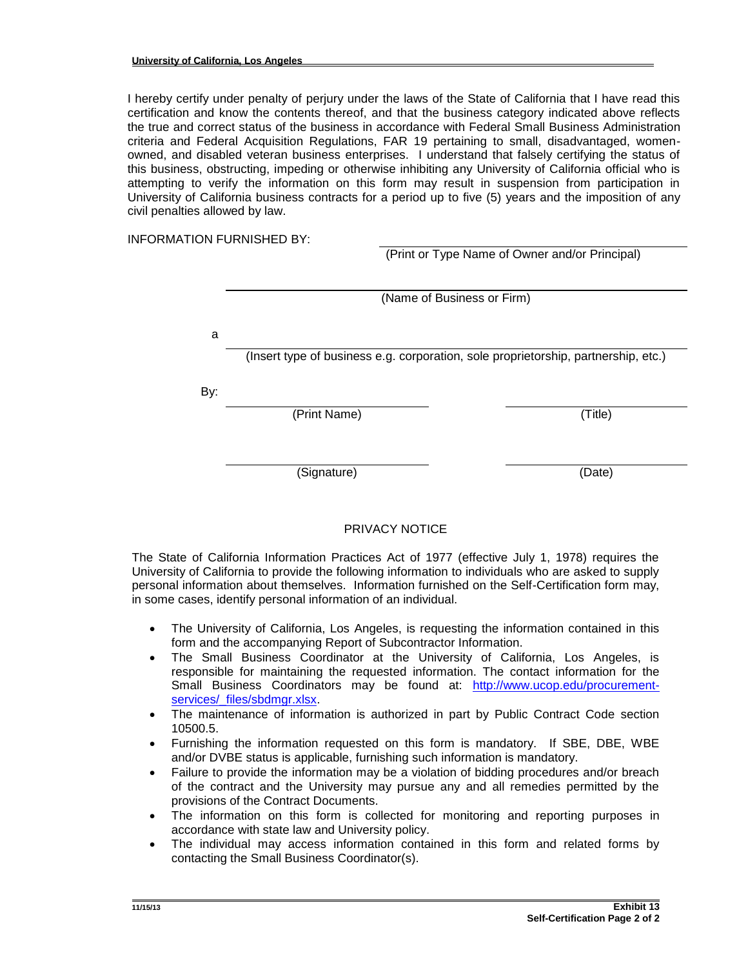I hereby certify under penalty of perjury under the laws of the State of California that I have read this certification and know the contents thereof, and that the business category indicated above reflects the true and correct status of the business in accordance with Federal Small Business Administration criteria and Federal Acquisition Regulations, FAR 19 pertaining to small, disadvantaged, womenowned, and disabled veteran business enterprises. I understand that falsely certifying the status of this business, obstructing, impeding or otherwise inhibiting any University of California official who is attempting to verify the information on this form may result in suspension from participation in University of California business contracts for a period up to five (5) years and the imposition of any civil penalties allowed by law.

INFORMATION FURNISHED BY:

(Print or Type Name of Owner and/or Principal)

|     | (Name of Business or Firm) |                                                                                    |  |  |  |  |  |  |
|-----|----------------------------|------------------------------------------------------------------------------------|--|--|--|--|--|--|
|     |                            |                                                                                    |  |  |  |  |  |  |
|     |                            |                                                                                    |  |  |  |  |  |  |
| a   |                            |                                                                                    |  |  |  |  |  |  |
|     |                            | (Insert type of business e.g. corporation, sole proprietorship, partnership, etc.) |  |  |  |  |  |  |
| By: |                            |                                                                                    |  |  |  |  |  |  |
|     | (Print Name)               | (Title)                                                                            |  |  |  |  |  |  |
|     |                            |                                                                                    |  |  |  |  |  |  |
|     | (Signature)                | (Date)                                                                             |  |  |  |  |  |  |
|     |                            |                                                                                    |  |  |  |  |  |  |

## PRIVACY NOTICE

The State of California Information Practices Act of 1977 (effective July 1, 1978) requires the University of California to provide the following information to individuals who are asked to supply personal information about themselves. Information furnished on the Self-Certification form may, in some cases, identify personal information of an individual.

- The University of California, Los Angeles, is requesting the information contained in this form and the accompanying Report of Subcontractor Information.
- The Small Business Coordinator at the University of California, Los Angeles, is responsible for maintaining the requested information. The contact information for the Small Business Coordinators may be found at: [http://www.ucop.edu/procurement](http://www.ucop.edu/procurement-services/_files/sbdmgr.xlsx)[services/\\_files/sbdmgr.xlsx.](http://www.ucop.edu/procurement-services/_files/sbdmgr.xlsx)
- The maintenance of information is authorized in part by Public Contract Code section 10500.5.
- Furnishing the information requested on this form is mandatory. If SBE, DBE, WBE and/or DVBE status is applicable, furnishing such information is mandatory.
- Failure to provide the information may be a violation of bidding procedures and/or breach of the contract and the University may pursue any and all remedies permitted by the provisions of the Contract Documents.
- The information on this form is collected for monitoring and reporting purposes in accordance with state law and University policy.
- The individual may access information contained in this form and related forms by contacting the Small Business Coordinator(s).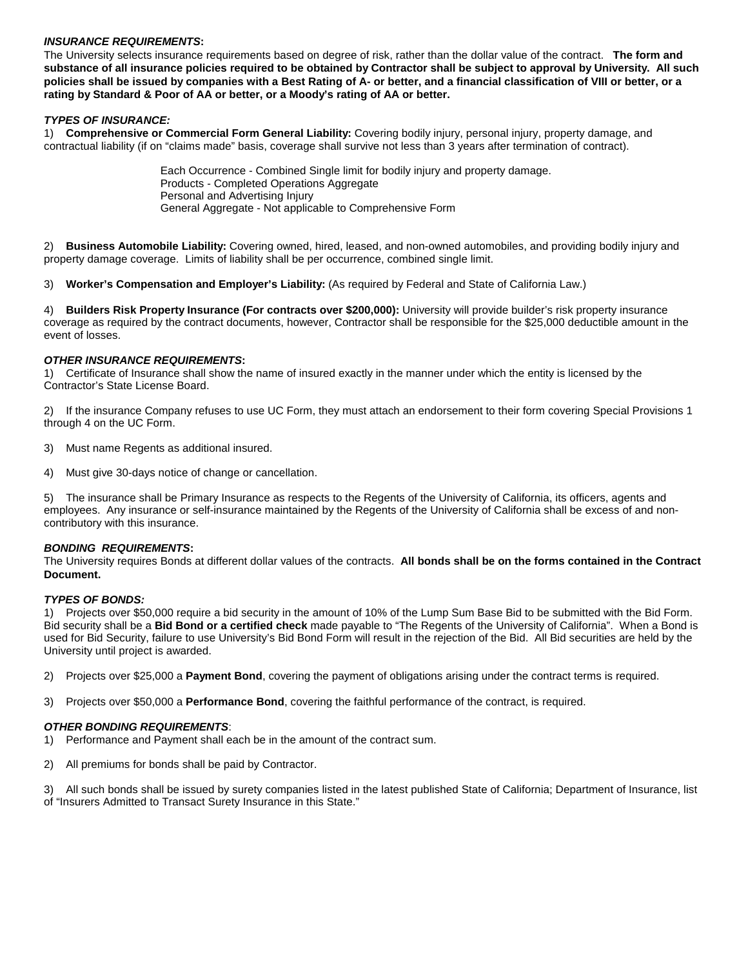#### *INSURANCE REQUIREMENTS***:**

The University selects insurance requirements based on degree of risk, rather than the dollar value of the contract. **The form and substance of all insurance policies required to be obtained by Contractor shall be subject to approval by University. All such policies shall be issued by companies with a Best Rating of A- or better, and a financial classification of VIII or better, or a rating by Standard & Poor of AA or better, or a Moody's rating of AA or better.**

#### *TYPES OF INSURANCE:*

1) **Comprehensive or Commercial Form General Liability:** Covering bodily injury, personal injury, property damage, and contractual liability (if on "claims made" basis, coverage shall survive not less than 3 years after termination of contract).

> Each Occurrence - Combined Single limit for bodily injury and property damage. Products - Completed Operations Aggregate Personal and Advertising Injury General Aggregate - Not applicable to Comprehensive Form

2) **Business Automobile Liability:** Covering owned, hired, leased, and non-owned automobiles, and providing bodily injury and property damage coverage. Limits of liability shall be per occurrence, combined single limit.

3) **Worker's Compensation and Employer's Liability:** (As required by Federal and State of California Law.)

4) **Builders Risk Property Insurance (For contracts over \$200,000):** University will provide builder's risk property insurance coverage as required by the contract documents, however, Contractor shall be responsible for the \$25,000 deductible amount in the event of losses.

#### *OTHER INSURANCE REQUIREMENTS***:**

1) Certificate of Insurance shall show the name of insured exactly in the manner under which the entity is licensed by the Contractor's State License Board.

2) If the insurance Company refuses to use UC Form, they must attach an endorsement to their form covering Special Provisions 1 through 4 on the UC Form.

- 3) Must name Regents as additional insured.
- 4) Must give 30-days notice of change or cancellation.

5) The insurance shall be Primary Insurance as respects to the Regents of the University of California, its officers, agents and employees. Any insurance or self-insurance maintained by the Regents of the University of California shall be excess of and noncontributory with this insurance.

#### *BONDING REQUIREMENTS***:**

The University requires Bonds at different dollar values of the contracts. **All bonds shall be on the forms contained in the Contract Document.**

#### *TYPES OF BONDS:*

1) Projects over \$50,000 require a bid security in the amount of 10% of the Lump Sum Base Bid to be submitted with the Bid Form. Bid security shall be a **Bid Bond or a certified check** made payable to "The Regents of the University of California". When a Bond is used for Bid Security, failure to use University's Bid Bond Form will result in the rejection of the Bid. All Bid securities are held by the University until project is awarded.

2) Projects over \$25,000 a **Payment Bond**, covering the payment of obligations arising under the contract terms is required.

3) Projects over \$50,000 a **Performance Bond**, covering the faithful performance of the contract, is required.

#### *OTHER BONDING REQUIREMENTS*:

- 1) Performance and Payment shall each be in the amount of the contract sum.
- 2) All premiums for bonds shall be paid by Contractor.

3) All such bonds shall be issued by surety companies listed in the latest published State of California; Department of Insurance, list of "Insurers Admitted to Transact Surety Insurance in this State."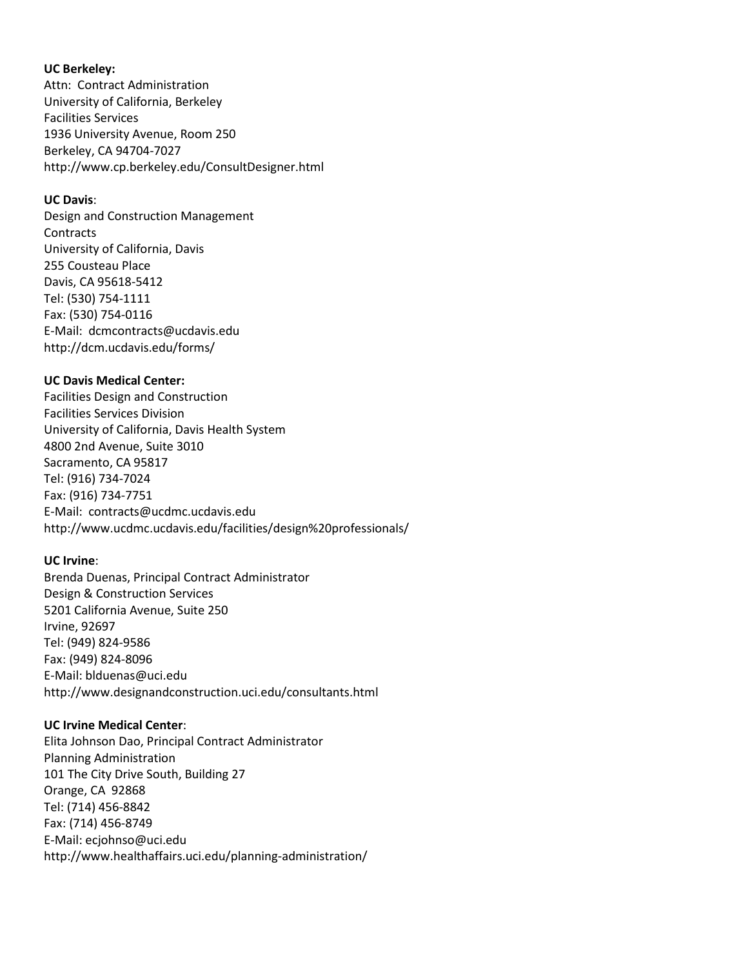### **UC Berkeley:**

Attn: Contract Administration University of California, Berkeley Facilities Services 1936 University Avenue, Room 250 Berkeley, CA 94704-7027 http://www.cp.berkeley.edu/ConsultDesigner.html

#### **UC Davis**:

Design and Construction Management **Contracts** University of California, Davis 255 Cousteau Place Davis, CA 95618-5412 Tel: (530) 754-1111 Fax: (530) 754-0116 E-Mail: dcmcontracts@ucdavis.edu http://dcm.ucdavis.edu/forms/

#### **UC Davis Medical Center:**

Facilities Design and Construction Facilities Services Division University of California, Davis Health System 4800 2nd Avenue, Suite 3010 Sacramento, CA 95817 Tel: (916) 734-7024 Fax: (916) 734-7751 E-Mail: contracts@ucdmc.ucdavis.edu http://www.ucdmc.ucdavis.edu/facilities/design%20professionals/

## **UC Irvine**:

Brenda Duenas, Principal Contract Administrator Design & Construction Services 5201 California Avenue, Suite 250 Irvine, 92697 Tel: (949) 824-9586 Fax: (949) 824-8096 E-Mail: blduenas@uci.edu http://www.designandconstruction.uci.edu/consultants.html

#### **UC Irvine Medical Center**:

Elita Johnson Dao, Principal Contract Administrator Planning Administration 101 The City Drive South, Building 27 Orange, CA 92868 Tel: (714) 456-8842 Fax: (714) 456-8749 E-Mail: ecjohnso@uci.edu http://www.healthaffairs.uci.edu/planning-administration/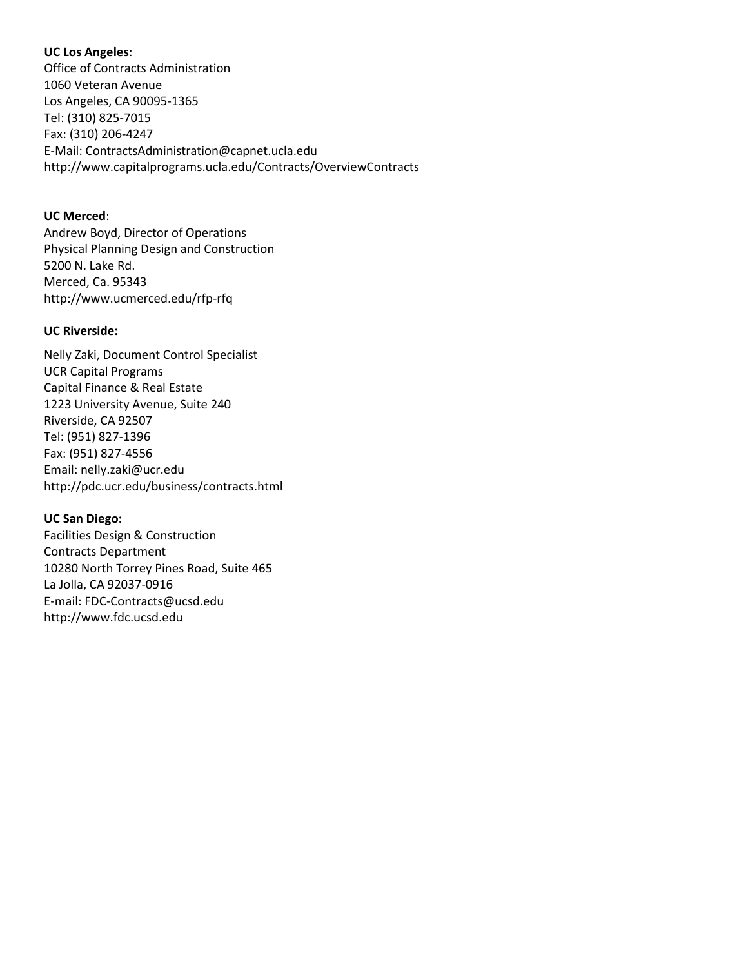# **UC Los Angeles**:

Office of Contracts Administration 1060 Veteran Avenue Los Angeles, CA 90095-1365 Tel: (310) 825-7015 Fax: (310) 206-4247 E-Mail: ContractsAdministration@capnet.ucla.edu http://www.capitalprograms.ucla.edu/Contracts/OverviewContracts

# **UC Merced**:

Andrew Boyd, Director of Operations Physical Planning Design and Construction 5200 N. Lake Rd. Merced, Ca. 95343 http://www.ucmerced.edu/rfp-rfq

# **UC Riverside:**

Nelly Zaki, Document Control Specialist UCR Capital Programs Capital Finance & Real Estate 1223 University Avenue, Suite 240 Riverside, CA 92507 Tel: (951) 827-1396 Fax: (951) 827-4556 Email: nelly.zaki@ucr.edu http://pdc.ucr.edu/business/contracts.html

# **UC San Diego:**

Facilities Design & Construction Contracts Department 10280 North Torrey Pines Road, Suite 465 La Jolla, CA 92037-0916 E-mail: FDC-Contracts@ucsd.edu http://www.fdc.ucsd.edu